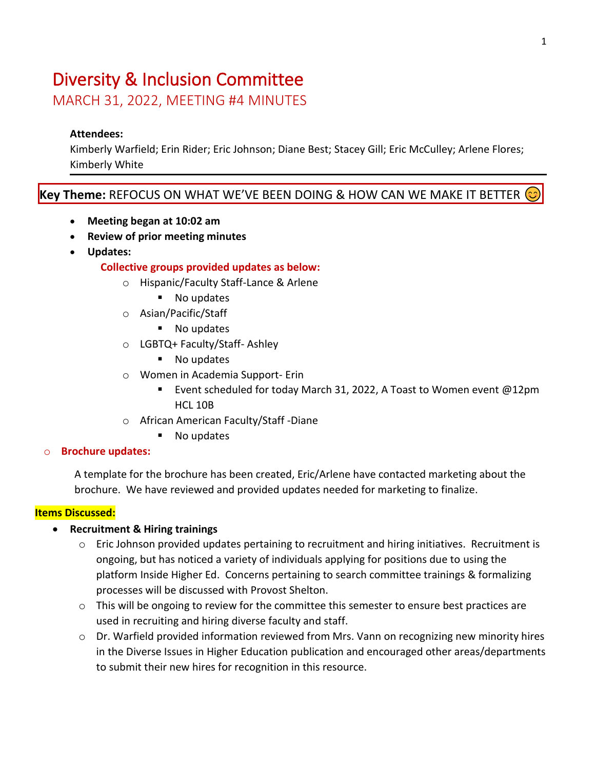# Diversity & Inclusion Committee

MARCH 31, 2022, MEETING #4 MINUTES

# **Attendees:**

Kimberly Warfield; Erin Rider; Eric Johnson; Diane Best; Stacey Gill; Eric McCulley; Arlene Flores; Kimberly White

# **Key Theme:** REFOCUS ON WHAT WE'VE BEEN DOING & HOW CAN WE MAKE IT BETTER

- **Meeting began at 10:02 am**
- **Review of prior meeting minutes**
- **Updates:**

# **Collective groups provided updates as below:**

- o Hispanic/Faculty Staff-Lance & Arlene
	- No updates
- o Asian/Pacific/Staff
	- No updates
- o LGBTQ+ Faculty/Staff- Ashley
	- No updates
- o Women in Academia Support- Erin
	- Event scheduled for today March 31, 2022, A Toast to Women event @12pm HCL 10B
- o African American Faculty/Staff -Diane
	- No updates

#### o **Brochure updates:**

A template for the brochure has been created, Eric/Arlene have contacted marketing about the brochure. We have reviewed and provided updates needed for marketing to finalize.

# **Items Discussed:**

#### • **Recruitment & Hiring trainings**

- o Eric Johnson provided updates pertaining to recruitment and hiring initiatives. Recruitment is ongoing, but has noticed a variety of individuals applying for positions due to using the platform Inside Higher Ed. Concerns pertaining to search committee trainings & formalizing processes will be discussed with Provost Shelton.
- $\circ$  This will be ongoing to review for the committee this semester to ensure best practices are used in recruiting and hiring diverse faculty and staff.
- $\circ$  Dr. Warfield provided information reviewed from Mrs. Vann on recognizing new minority hires in the Diverse Issues in Higher Education publication and encouraged other areas/departments to submit their new hires for recognition in this resource.